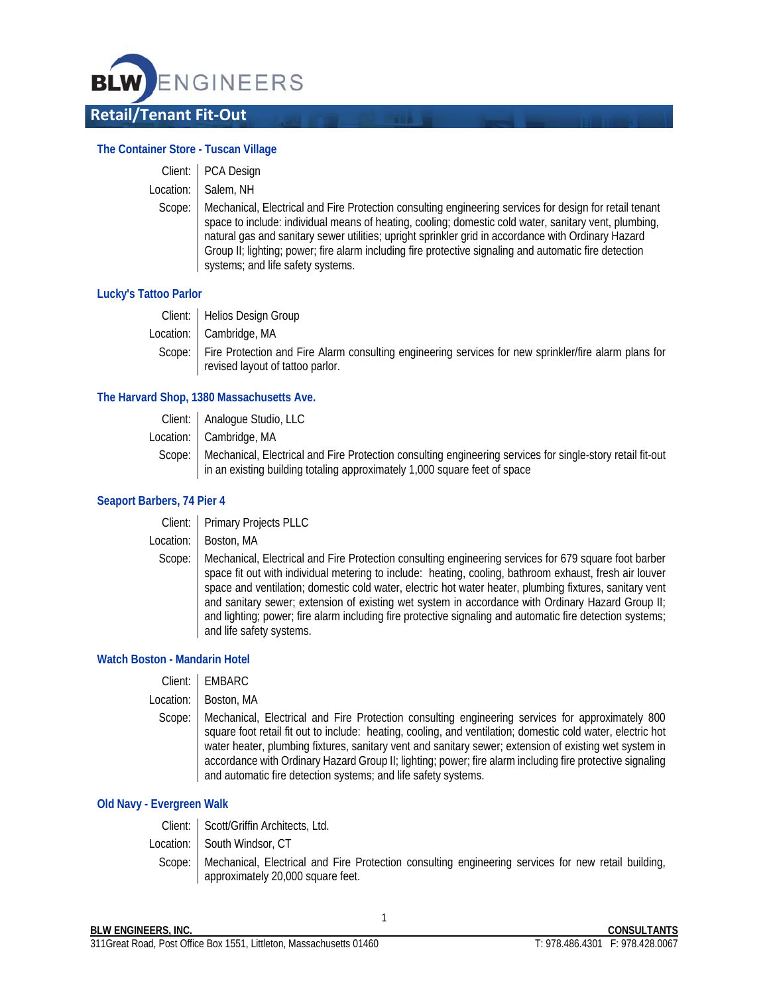

## **The Container Store - Tuscan Village**

|        | Client:   PCA Design                                                                                                                                                                                                                                                                                                                                                                                                                                                   |
|--------|------------------------------------------------------------------------------------------------------------------------------------------------------------------------------------------------------------------------------------------------------------------------------------------------------------------------------------------------------------------------------------------------------------------------------------------------------------------------|
|        | Location:   Salem, NH                                                                                                                                                                                                                                                                                                                                                                                                                                                  |
| Scope: | Mechanical, Electrical and Fire Protection consulting engineering services for design for retail tenant<br>space to include: individual means of heating, cooling; domestic cold water, sanitary vent, plumbing,<br>natural gas and sanitary sewer utilities; upright sprinkler grid in accordance with Ordinary Hazard<br>Group II; lighting; power; fire alarm including fire protective signaling and automatic fire detection<br>systems; and life safety systems. |

### **Lucky's Tattoo Parlor**

| Client:   Helios Design Group                                                                                  |
|----------------------------------------------------------------------------------------------------------------|
| Location:   Cambridge, MA                                                                                      |
| Scope:   Fire Protection and Fire Alarm consulting engineering services for new sprinkler/fire alarm plans for |
| revised layout of tattoo parlor.                                                                               |

#### **The Harvard Shop, 1380 Massachusetts Ave.**

| Client:   Analogue Studio, LLC                                                                                                                                                                   |
|--------------------------------------------------------------------------------------------------------------------------------------------------------------------------------------------------|
| Location: Cambridge, MA                                                                                                                                                                          |
| Scope:   Mechanical, Electrical and Fire Protection consulting engineering services for single-story retail fit-out<br>in an existing building totaling approximately 1,000 square feet of space |

#### **Seaport Barbers, 74 Pier 4**

| Client:   Primary Projects PLLC |  |
|---------------------------------|--|
|                                 |  |

Location: | Boston, MA

Scope: | Mechanical, Electrical and Fire Protection consulting engineering services for 679 square foot barber space fit out with individual metering to include: heating, cooling, bathroom exhaust, fresh air louver space and ventilation; domestic cold water, electric hot water heater, plumbing fixtures, sanitary vent and sanitary sewer; extension of existing wet system in accordance with Ordinary Hazard Group II; and lighting; power; fire alarm including fire protective signaling and automatic fire detection systems; and life safety systems.

### **Watch Boston - Mandarin Hotel**

| Client:   EMBARC |  |
|------------------|--|
|------------------|--|

Location: | Boston, MA

Scope: | Mechanical, Electrical and Fire Protection consulting engineering services for approximately 800 square foot retail fit out to include: heating, cooling, and ventilation; domestic cold water, electric hot water heater, plumbing fixtures, sanitary vent and sanitary sewer; extension of existing wet system in accordance with Ordinary Hazard Group II; lighting; power; fire alarm including fire protective signaling and automatic fire detection systems; and life safety systems.

### **Old Navy - Evergreen Walk**

| Client: Scott/Griffin Architects, Ltd.                                                                                                            |
|---------------------------------------------------------------------------------------------------------------------------------------------------|
| Location: South Windsor, CT                                                                                                                       |
| Scope:   Mechanical, Electrical and Fire Protection consulting engineering services for new retail building,<br>approximately 20,000 square feet. |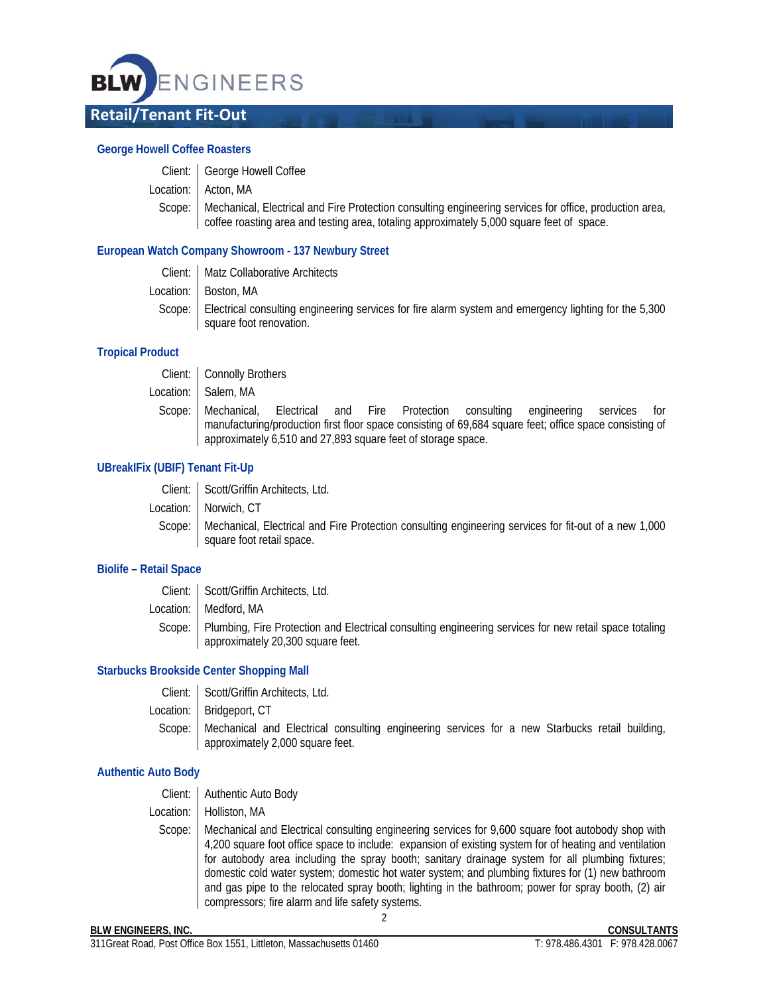

### **George Howell Coffee Roasters**

| Client:   George Howell Coffee                                                                                                                                                                                |
|---------------------------------------------------------------------------------------------------------------------------------------------------------------------------------------------------------------|
| Location:   Acton, MA                                                                                                                                                                                         |
| Scope:   Mechanical, Electrical and Fire Protection consulting engineering services for office, production area,<br>coffee roasting area and testing area, totaling approximately 5,000 square feet of space. |

## **European Watch Company Showroom - 137 Newbury Street**

Client: Matz Collaborative Architects Location: | Boston, MA Scope: Electrical consulting engineering services for fire alarm system and emergency lighting for the 5,300 square foot renovation.

### **Tropical Product**

Client: | Connolly Brothers Location: Salem, MA Scope: Mechanical, Electrical and Fire Protection consulting engineering services for manufacturing/production first floor space consisting of 69,684 square feet; office space consisting of

approximately 6,510 and 27,893 square feet of storage space.

## **UBreakIFix (UBIF) Tenant Fit-Up**

| Client:   Scott/Griffin Architects, Ltd.                                                                       |
|----------------------------------------------------------------------------------------------------------------|
| Location: Norwich, CT                                                                                          |
| Scope:   Mechanical, Electrical and Fire Protection consulting engineering services for fit-out of a new 1,000 |
| square foot retail space.                                                                                      |

### **Biolife – Retail Space**

| Client:   Scott/Griffin Architects, Ltd.                                                                                                             |
|------------------------------------------------------------------------------------------------------------------------------------------------------|
| Location:   Medford, MA                                                                                                                              |
| Scope:   Plumbing, Fire Protection and Electrical consulting engineering services for new retail space totaling<br>approximately 20,300 square feet. |

# **Starbucks Brookside Center Shopping Mall**

| Client:   Scott/Griffin Architects, Ltd.                                                                                                    |
|---------------------------------------------------------------------------------------------------------------------------------------------|
| Location:   Bridgeport, CT                                                                                                                  |
| Scope:   Mechanical and Electrical consulting engineering services for a new Starbucks retail building,<br>approximately 2,000 square feet. |

### **Authentic Auto Body**

2 Client: | Authentic Auto Body Location: Holliston, MA Scope: Mechanical and Electrical consulting engineering services for 9,600 square foot autobody shop with 4,200 square foot office space to include: expansion of existing system for of heating and ventilation for autobody area including the spray booth; sanitary drainage system for all plumbing fixtures; domestic cold water system; domestic hot water system; and plumbing fixtures for (1) new bathroom and gas pipe to the relocated spray booth; lighting in the bathroom; power for spray booth, (2) air compressors; fire alarm and life safety systems.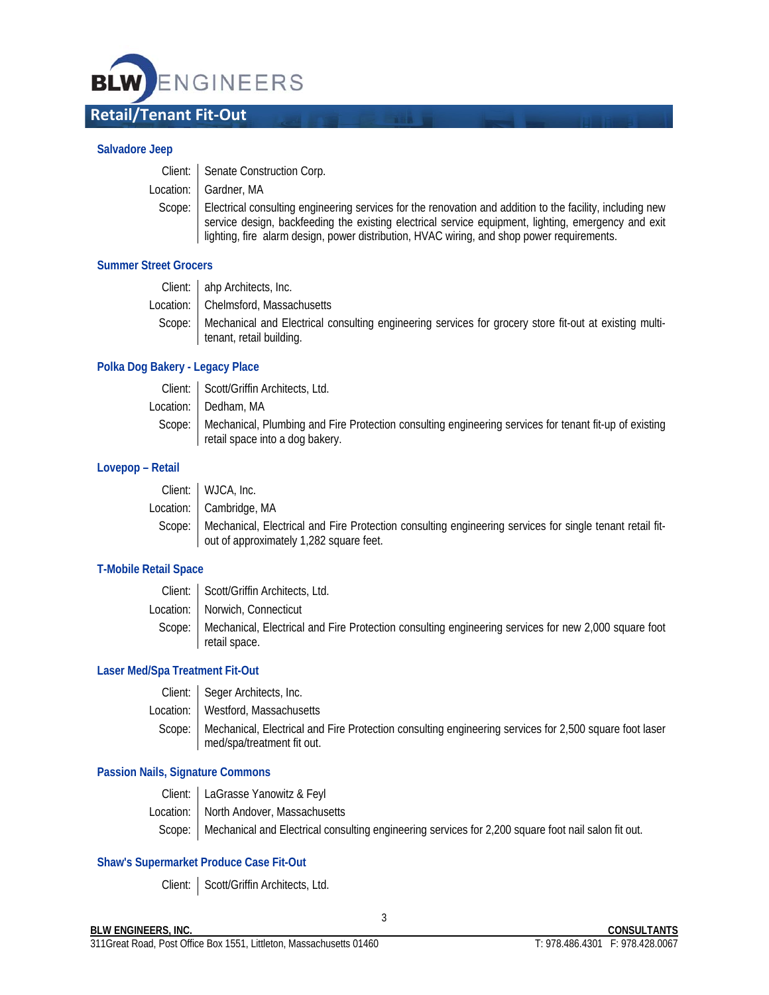

#### **Salvadore Jeep**

| Client:   Senate Construction Corp.                                                                                                                                                                                                                                                                                     |
|-------------------------------------------------------------------------------------------------------------------------------------------------------------------------------------------------------------------------------------------------------------------------------------------------------------------------|
| Location:   Gardner, MA                                                                                                                                                                                                                                                                                                 |
| Scope:   Electrical consulting engineering services for the renovation and addition to the facility, including new<br>service design, backfeeding the existing electrical service equipment, lighting, emergency and exit<br>lighting, fire alarm design, power distribution, HVAC wiring, and shop power requirements. |

## **Summer Street Grocers**

| Client: ahp Architects, Inc.                                                                                    |
|-----------------------------------------------------------------------------------------------------------------|
| Location:   Chelmsford, Massachusetts                                                                           |
| Scope:   Mechanical and Electrical consulting engineering services for grocery store fit-out at existing multi- |
| tenant, retail building.                                                                                        |

## **Polka Dog Bakery - Legacy Place**

| Client: Scott/Griffin Architects, Ltd.                                                                                                             |
|----------------------------------------------------------------------------------------------------------------------------------------------------|
| Location:   Dedham, MA                                                                                                                             |
| Scope:   Mechanical, Plumbing and Fire Protection consulting engineering services for tenant fit-up of existing<br>retail space into a dog bakery. |

## **Lovepop – Retail**

| Client:   WJCA, Inc.                                                                                              |
|-------------------------------------------------------------------------------------------------------------------|
| Location: Cambridge, MA                                                                                           |
| Scope:   Mechanical, Electrical and Fire Protection consulting engineering services for single tenant retail fit- |
| out of approximately 1,282 square feet.                                                                           |

## **T-Mobile Retail Space**

| Client:   Scott/Griffin Architects, Ltd.                                                                                       |
|--------------------------------------------------------------------------------------------------------------------------------|
| Location:   Norwich, Connecticut                                                                                               |
| Scope:   Mechanical, Electrical and Fire Protection consulting engineering services for new 2,000 square foot<br>retail space. |

### **Laser Med/Spa Treatment Fit-Out**

| Client: Seger Architects, Inc.                                                                                                                |
|-----------------------------------------------------------------------------------------------------------------------------------------------|
| Location: I Westford, Massachusetts                                                                                                           |
| Scope:   Mechanical, Electrical and Fire Protection consulting engineering services for 2,500 square foot laser<br>med/spa/treatment fit out. |

# **Passion Nails, Signature Commons**

Client: LaGrasse Yanowitz & Feyl Location: North Andover, Massachusetts Scope: | Mechanical and Electrical consulting engineering services for 2,200 square foot nail salon fit out.

### **Shaw's Supermarket Produce Case Fit-Out**

Client: | Scott/Griffin Architects, Ltd.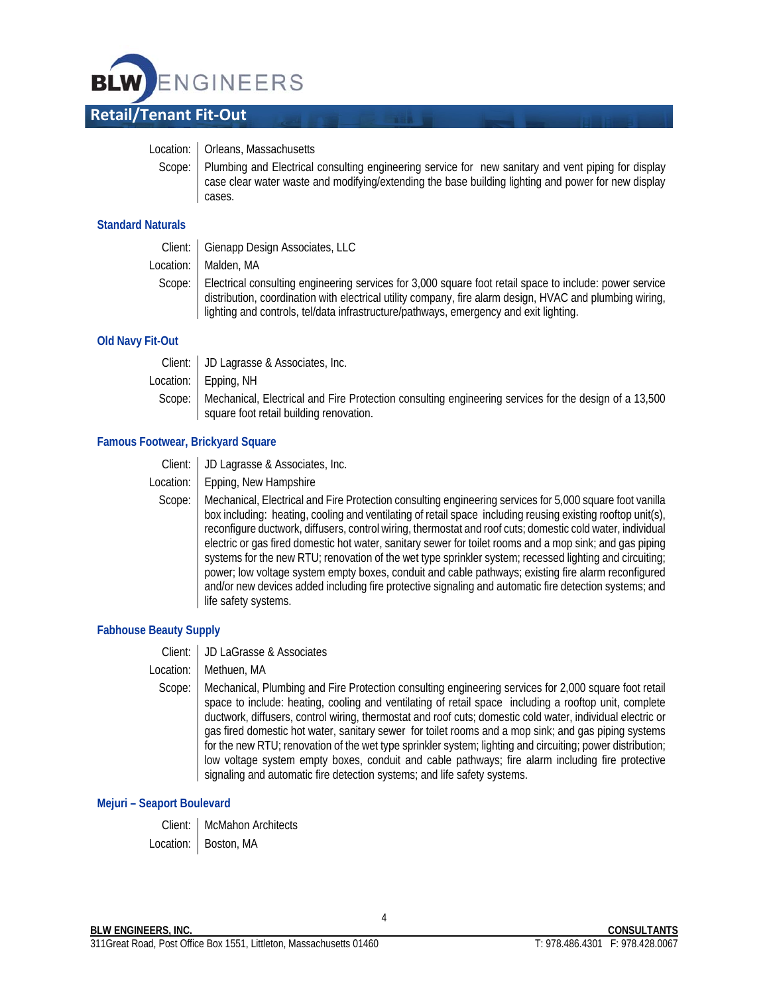

### Location: | Orleans, Massachusetts

Scope: Plumbing and Electrical consulting engineering service for new sanitary and vent piping for display case clear water waste and modifying/extending the base building lighting and power for new display cases.

## **Standard Naturals**

Client: | Gienapp Design Associates, LLC

Location: | Malden, MA

Scope: Electrical consulting engineering services for 3,000 square foot retail space to include: power service distribution, coordination with electrical utility company, fire alarm design, HVAC and plumbing wiring, lighting and controls, tel/data infrastructure/pathways, emergency and exit lighting.

## **Old Navy Fit-Out**

Client: JD Lagrasse & Associates, Inc.

Location: Epping, NH

Scope: | Mechanical, Electrical and Fire Protection consulting engineering services for the design of a 13,500 square foot retail building renovation.

## **Famous Footwear, Brickyard Square**

Client: JD Lagrasse & Associates, Inc.

Location: | Epping, New Hampshire

Scope: Mechanical, Electrical and Fire Protection consulting engineering services for 5,000 square foot vanilla box including: heating, cooling and ventilating of retail space including reusing existing rooftop unit(s), reconfigure ductwork, diffusers, control wiring, thermostat and roof cuts; domestic cold water, individual electric or gas fired domestic hot water, sanitary sewer for toilet rooms and a mop sink; and gas piping systems for the new RTU; renovation of the wet type sprinkler system; recessed lighting and circuiting; power; low voltage system empty boxes, conduit and cable pathways; existing fire alarm reconfigured and/or new devices added including fire protective signaling and automatic fire detection systems; and life safety systems.

### **Fabhouse Beauty Supply**

Client: JD LaGrasse & Associates

### Location: | Methuen, MA

Scope: Mechanical, Plumbing and Fire Protection consulting engineering services for 2,000 square foot retail space to include: heating, cooling and ventilating of retail space including a rooftop unit, complete ductwork, diffusers, control wiring, thermostat and roof cuts; domestic cold water, individual electric or gas fired domestic hot water, sanitary sewer for toilet rooms and a mop sink; and gas piping systems for the new RTU; renovation of the wet type sprinkler system; lighting and circuiting; power distribution; low voltage system empty boxes, conduit and cable pathways; fire alarm including fire protective signaling and automatic fire detection systems; and life safety systems.

4

# **Mejuri – Seaport Boulevard**

Client: McMahon Architects Location: | Boston, MA